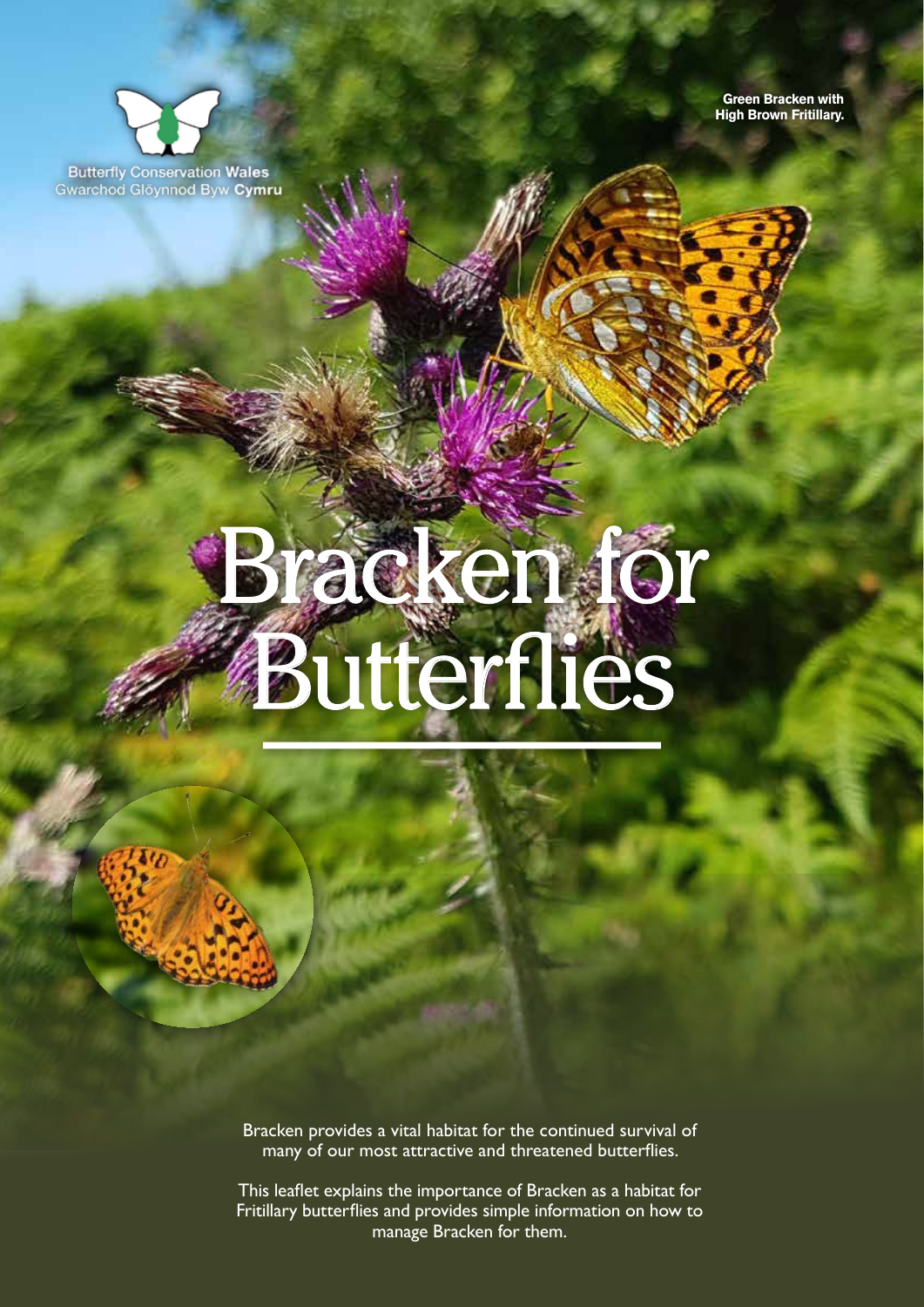**Green Bracken with High Brown Fritillary.** 



# Bracken for Butterfies

Bracken provides a vital habitat for the continued survival of many of our most attractive and threatened butterfies.

This leaflet explains the importance of Bracken as a habitat for Fritillary butterfies and provides simple information on how to manage Bracken for them.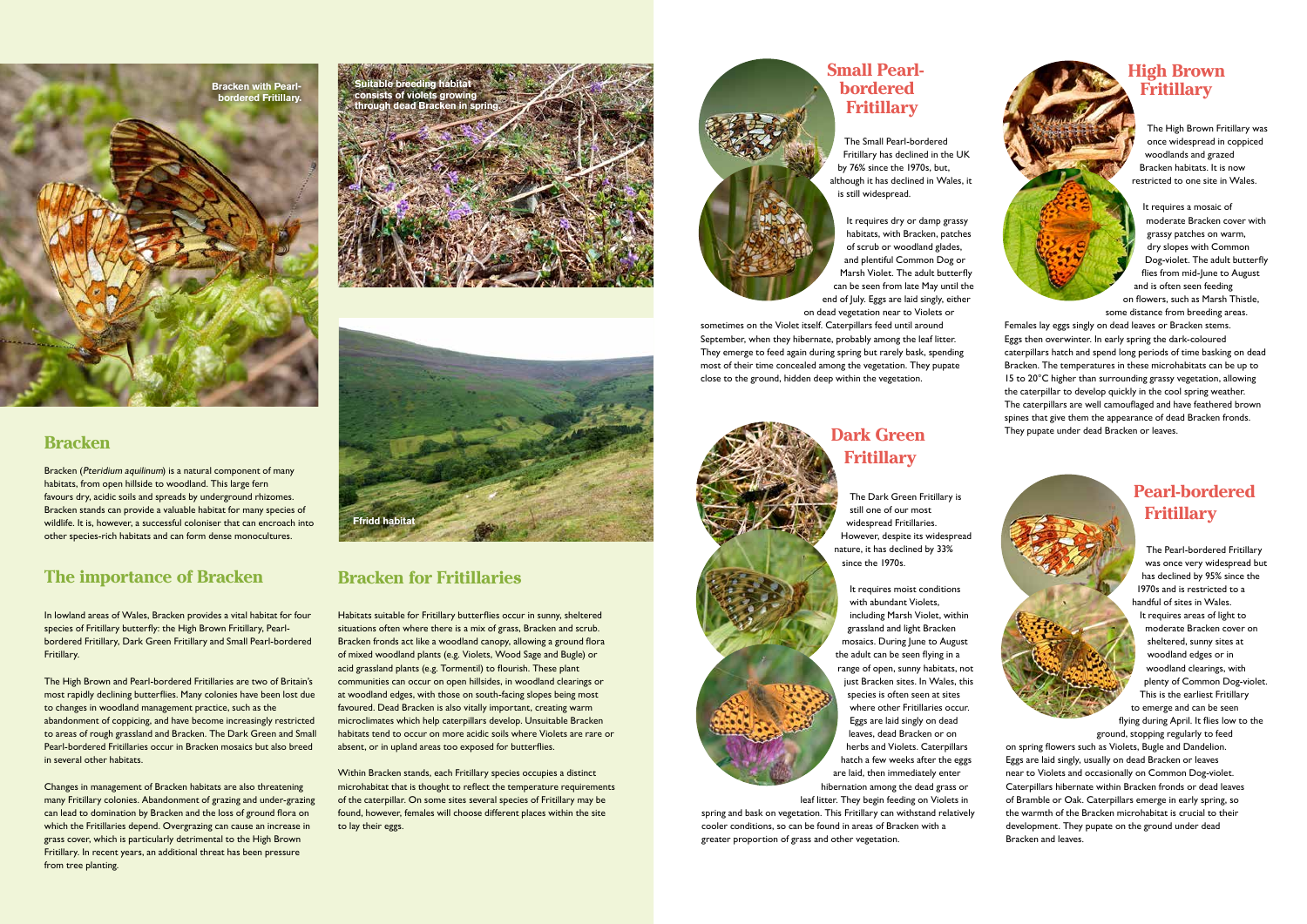



In lowland areas of Wales, Bracken provides a vital habitat for four species of Fritillary butterfy: the High Brown Fritillary, Pearlbordered Fritillary, Dark Green Fritillary and Small Pearl-bordered Fritillary.

The High Brown and Pearl-bordered Fritillaries are two of Britain's most rapidly declining butterfies. Many colonies have been lost due to changes in woodland management practice, such as the abandonment of coppicing, and have become increasingly restricted to areas of rough grassland and Bracken. The Dark Green and Small Pearl-bordered Fritillaries occur in Bracken mosaics but also breed in several other habitats.

Changes in management of Bracken habitats are also threatening many Fritillary colonies. Abandonment of grazing and under-grazing can lead to domination by Bracken and the loss of ground flora on which the Fritillaries depend. Overgrazing can cause an increase in grass cover, which is particularly detrimental to the High Brown Fritillary. In recent years, an additional threat has been pressure from tree planting.



Habitats suitable for Fritillary butterfies occur in sunny, sheltered situations often where there is a mix of grass, Bracken and scrub. Bracken fronds act like a woodland canopy, allowing a ground flora of mixed woodland plants (e.g. Violets, Wood Sage and Bugle) or acid grassland plants (e.g. Tormentil) to flourish. These plant communities can occur on open hillsides, in woodland clearings or at woodland edges, with those on south-facing slopes being most favoured. Dead Bracken is also vitally important, creating warm microclimates which help caterpillars develop. Unsuitable Bracken habitats tend to occur on more acidic soils where Violets are rare or absent, or in upland areas too exposed for butterfies.

It requires a mosaic of moderate Bracken cover with grassy patches on warm, dry slopes with Common Dog-violet. The adult butterfy fies from mid-June to August and is often seen feeding on flowers, such as Marsh Thistle,

Within Bracken stands, each Fritillary species occupies a distinct microhabitat that is thought to refect the temperature requirements of the caterpillar. On some sites several species of Fritillary may be found, however, females will choose different places within the site to lay their eggs.





Bracken (Pteridium aquilinum) is a natural component of many habitats, from open hillside to woodland. This large fern favours dry, acidic soils and spreads by underground rhizomes. Bracken stands can provide a valuable habitat for many species of wildlife. It is, however, a successful coloniser that can encroach into other species-rich habitats and can form dense monocultures.

# **The importance of Bracken Bracken Bracken Bracken Bracken Bracken Bracken Bracken Bracken Bracken Bracken Bracken Bracken Bracken Bracken Bracken Bracken Bracken Bracken Bracken Bra**

## **Bracken**

on spring flowers such as Violets, Bugle and Dandelion. Eggs are laid singly, usually on dead Bracken or leaves near to Violets and occasionally on Common Dog-violet. Caterpillars hibernate within Bracken fronds or dead leaves of Bramble or Oak. Caterpillars emerge in early spring, so the warmth of the Bracken microhabitat is crucial to their development. They pupate on the ground under dead Bracken and leaves.

The Dark Green Fritillary is still one of our most widespread Fritillaries. However, despite its widespread nature, it has declined by 33% since the 1970s.

It requires moist conditions with abundant Violets, including Marsh Violet, within grassland and light Bracken mosaics. During June to August the adult can be seen flying in a range of open, sunny habitats, not just Bracken sites. In Wales, this species is often seen at sites where other Fritillaries occur. Eggs are laid singly on dead leaves, dead Bracken or on herbs and Violets. Caterpillars hatch a few weeks after the eggs are laid, then immediately enter hibernation among the dead grass or

 leaf litter. They begin feeding on Violets in spring and bask on vegetation. This Fritillary can withstand relatively cooler conditions, so can be found in areas of Bracken with a greater proportion of grass and other vegetation.

# **Dark Green Fritillary**

The High Brown Fritillary was once widespread in coppiced woodlands and grazed Bracken habitats. It is now restricted to one site in Wales.

 some distance from breeding areas. Females lay eggs singly on dead leaves or Bracken stems. Eggs then overwinter. In early spring the dark-coloured caterpillars hatch and spend long periods of time basking on dead Bracken. The temperatures in these microhabitats can be up to 15 to 20°C higher than surrounding grassy vegetation, allowing the caterpillar to develop quickly in the cool spring weather. The caterpillars are well camoufaged and have feathered brown spines that give them the appearance of dead Bracken fronds. They pupate under dead Bracken or leaves.

## **High Brown Fritillary**

The Pearl-bordered Fritillary was once very widespread but has declined by 95% since the 1970s and is restricted to a handful of sites in Wales. It requires areas of light to moderate Bracken cover on sheltered, sunny sites at woodland edges or in woodland clearings, with plenty of Common Dog-violet. This is the earliest Fritillary to emerge and can be seen flying during April. It flies low to the ground, stopping regularly to feed

# **Pearl-bordered Fritillary**

The Small Pearl-bordered Fritillary has declined in the UK by 76% since the 1970s, but, although it has declined in Wales, it is still widespread.

It requires dry or damp grassy habitats, with Bracken, patches of scrub or woodland glades, and plentiful Common Dog or Marsh Violet. The adult butterfy can be seen from late May until the end of July. Eggs are laid singly, either on dead vegetation near to Violets or

sometimes on the Violet itself. Caterpillars feed until around September, when they hibernate, probably among the leaf litter. They emerge to feed again during spring but rarely bask, spending most of their time concealed among the vegetation. They pupate close to the ground, hidden deep within the vegetation.

#### **Small Pearlbordered Fritillary**